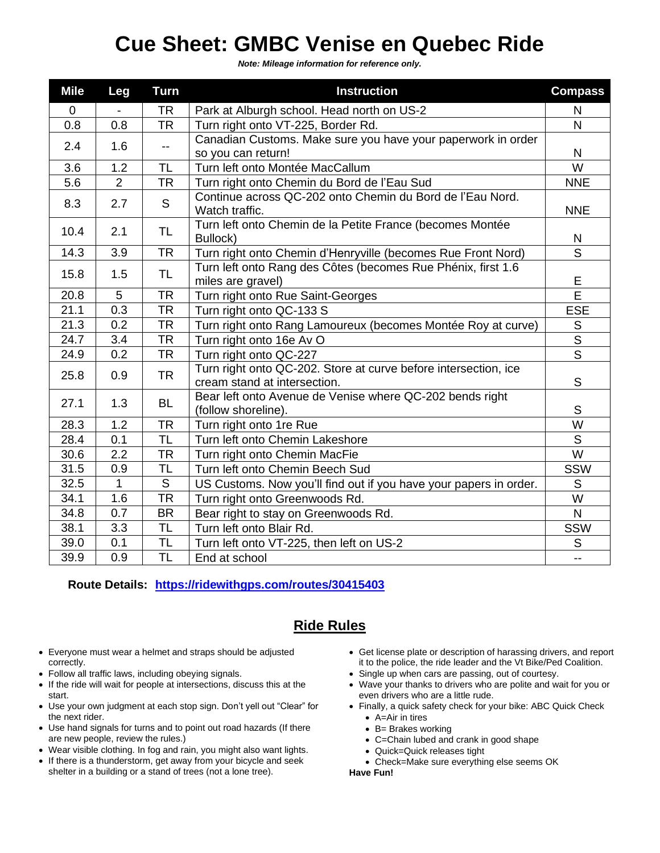## **Cue Sheet: GMBC Venise en Quebec Ride**

*Note: Mileage information for reference only.*

| <b>Mile</b>  | Leg            | <b>Turn</b>              | <b>Instruction</b>                                                                              | <b>Compass</b>          |
|--------------|----------------|--------------------------|-------------------------------------------------------------------------------------------------|-------------------------|
| $\mathbf{0}$ |                | <b>TR</b>                | Park at Alburgh school. Head north on US-2                                                      | N                       |
| 0.8          | 0.8            | TR                       | Turn right onto VT-225, Border Rd.                                                              | N.                      |
| 2.4          | 1.6            | $\overline{\phantom{a}}$ | Canadian Customs. Make sure you have your paperwork in order<br>so you can return!              | $\mathsf{N}$            |
| 3.6          | 1.2            | <b>TL</b>                | Turn left onto Montée MacCallum                                                                 | W                       |
| 5.6          | $\overline{2}$ | <b>TR</b>                | Turn right onto Chemin du Bord de l'Eau Sud                                                     | <b>NNE</b>              |
| 8.3          | 2.7            | ${\mathsf S}$            | Continue across QC-202 onto Chemin du Bord de l'Eau Nord.<br>Watch traffic.                     | <b>NNE</b>              |
| 10.4         | 2.1            | <b>TL</b>                | Turn left onto Chemin de la Petite France (becomes Montée<br>Bullock)                           | N                       |
| 14.3         | 3.9            | <b>TR</b>                | Turn right onto Chemin d'Henryville (becomes Rue Front Nord)                                    | S                       |
| 15.8         | 1.5            | <b>TL</b>                | Turn left onto Rang des Côtes (becomes Rue Phénix, first 1.6<br>miles are gravel)               | E                       |
| 20.8         | 5              | <b>TR</b>                | Turn right onto Rue Saint-Georges                                                               | E                       |
| 21.1         | 0.3            | <b>TR</b>                | Turn right onto QC-133 S                                                                        | <b>ESE</b>              |
| 21.3         | 0.2            | <b>TR</b>                | Turn right onto Rang Lamoureux (becomes Montée Roy at curve)                                    | S                       |
| 24.7         | 3.4            | <b>TR</b>                | Turn right onto 16e Av O                                                                        | $\overline{\mathsf{s}}$ |
| 24.9         | 0.2            | <b>TR</b>                | Turn right onto QC-227                                                                          | $\overline{s}$          |
| 25.8         | 0.9            | <b>TR</b>                | Turn right onto QC-202. Store at curve before intersection, ice<br>cream stand at intersection. | S                       |
| 27.1         | 1.3            | <b>BL</b>                | Bear left onto Avenue de Venise where QC-202 bends right<br>(follow shoreline).                 | S                       |
| 28.3         | 1.2            | <b>TR</b>                | Turn right onto 1re Rue                                                                         | W                       |
| 28.4         | 0.1            | <b>TL</b>                | Turn left onto Chemin Lakeshore                                                                 | $\mathsf{S}$            |
| 30.6         | 2.2            | <b>TR</b>                | Turn right onto Chemin MacFie                                                                   | W                       |
| 31.5         | 0.9            | TL                       | Turn left onto Chemin Beech Sud                                                                 | SSW                     |
| 32.5         | $\mathbf{1}$   | S                        | US Customs. Now you'll find out if you have your papers in order.                               | S                       |
| 34.1         | 1.6            | <b>TR</b>                | Turn right onto Greenwoods Rd.                                                                  | W                       |
| 34.8         | 0.7            | <b>BR</b>                | Bear right to stay on Greenwoods Rd.                                                            | N                       |
| 38.1         | 3.3            | <b>TL</b>                | Turn left onto Blair Rd.                                                                        | <b>SSW</b>              |
| 39.0         | 0.1            | <b>TL</b>                | Turn left onto VT-225, then left on US-2                                                        | S                       |
| 39.9         | 0.9            | <b>TL</b>                | End at school                                                                                   | Ξ.                      |

**Route Details: <https://ridewithgps.com/routes/30415403>**

## **Ride Rules**

- Everyone must wear a helmet and straps should be adjusted correctly.
- Follow all traffic laws, including obeying signals.
- If the ride will wait for people at intersections, discuss this at the start.
- Use your own judgment at each stop sign. Don't yell out "Clear" for the next rider.
- Use hand signals for turns and to point out road hazards (If there are new people, review the rules.)
- Wear visible clothing. In fog and rain, you might also want lights.
- If there is a thunderstorm, get away from your bicycle and seek shelter in a building or a stand of trees (not a lone tree).
- Get license plate or description of harassing drivers, and report it to the police, the ride leader and the Vt Bike/Ped Coalition.
- Single up when cars are passing, out of courtesy.
- Wave your thanks to drivers who are polite and wait for you or even drivers who are a little rude.
- Finally, a quick safety check for your bike: ABC Quick Check • A=Air in tires
	- B= Brakes working
	- C=Chain lubed and crank in good shape
	- Quick=Quick releases tight
	- Check=Make sure everything else seems OK

**Have Fun!**